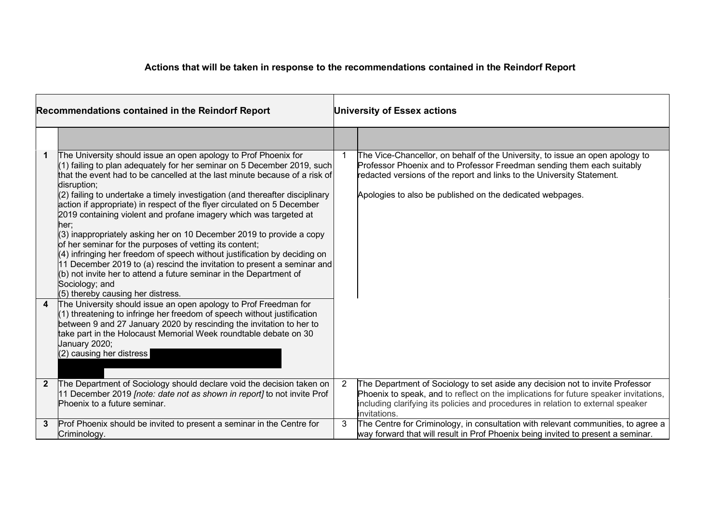## **Actions that will be taken in response to the recommendations contained in the Reindorf Report**

| <b>Recommendations contained in the Reindorf Report</b> |                                                                                                                                                                                                                                                                                                                                                                                                                                                                                                                                                                                                                                                                                                                                                                                                                                                                                                           | <b>University of Essex actions</b> |                                                                                                                                                                                                                                                                                                |
|---------------------------------------------------------|-----------------------------------------------------------------------------------------------------------------------------------------------------------------------------------------------------------------------------------------------------------------------------------------------------------------------------------------------------------------------------------------------------------------------------------------------------------------------------------------------------------------------------------------------------------------------------------------------------------------------------------------------------------------------------------------------------------------------------------------------------------------------------------------------------------------------------------------------------------------------------------------------------------|------------------------------------|------------------------------------------------------------------------------------------------------------------------------------------------------------------------------------------------------------------------------------------------------------------------------------------------|
|                                                         |                                                                                                                                                                                                                                                                                                                                                                                                                                                                                                                                                                                                                                                                                                                                                                                                                                                                                                           |                                    |                                                                                                                                                                                                                                                                                                |
|                                                         | The University should issue an open apology to Prof Phoenix for<br>(1) failing to plan adequately for her seminar on 5 December 2019, such<br>that the event had to be cancelled at the last minute because of a risk of<br>disruption;<br>(2) failing to undertake a timely investigation (and thereafter disciplinary<br>action if appropriate) in respect of the flyer circulated on 5 December<br>2019 containing violent and profane imagery which was targeted at<br>her:<br>(3) inappropriately asking her on 10 December 2019 to provide a copy<br>of her seminar for the purposes of vetting its content;<br>$(4)$ infringing her freedom of speech without justification by deciding on<br>11 December 2019 to (a) rescind the invitation to present a seminar and<br>(b) not invite her to attend a future seminar in the Department of<br>Sociology; and<br>(5) thereby causing her distress. |                                    | The Vice-Chancellor, on behalf of the University, to issue an open apology to<br>Professor Phoenix and to Professor Freedman sending them each suitably<br>redacted versions of the report and links to the University Statement.<br>Apologies to also be published on the dedicated webpages. |
| $\overline{4}$                                          | The University should issue an open apology to Prof Freedman for<br>(1) threatening to infringe her freedom of speech without justification<br>between 9 and 27 January 2020 by rescinding the invitation to her to<br>take part in the Holocaust Memorial Week roundtable debate on 30<br>January 2020;<br>(2) causing her distress                                                                                                                                                                                                                                                                                                                                                                                                                                                                                                                                                                      |                                    |                                                                                                                                                                                                                                                                                                |
| $\mathbf{2}$                                            | The Department of Sociology should declare void the decision taken on<br>11 December 2019 [note: date not as shown in report] to not invite Prof<br>Phoenix to a future seminar.                                                                                                                                                                                                                                                                                                                                                                                                                                                                                                                                                                                                                                                                                                                          | $\overline{2}$                     | The Department of Sociology to set aside any decision not to invite Professor<br>Phoenix to speak, and to reflect on the implications for future speaker invitations,<br>including clarifying its policies and procedures in relation to external speaker<br>invitations.                      |
| 3                                                       | Prof Phoenix should be invited to present a seminar in the Centre for<br>Criminology.                                                                                                                                                                                                                                                                                                                                                                                                                                                                                                                                                                                                                                                                                                                                                                                                                     | 3                                  | The Centre for Criminology, in consultation with relevant communities, to agree a<br>way forward that will result in Prof Phoenix being invited to present a seminar.                                                                                                                          |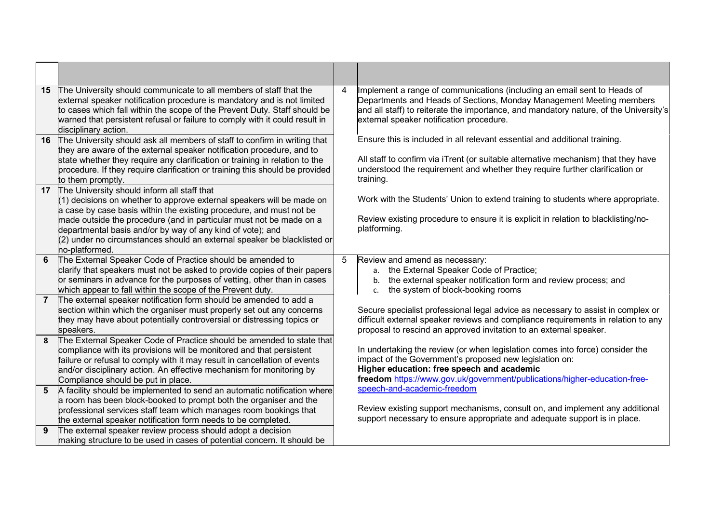| 15              | The University should communicate to all members of staff that the<br>external speaker notification procedure is mandatory and is not limited<br>to cases which fall within the scope of the Prevent Duty. Staff should be<br>warned that persistent refusal or failure to comply with it could result in<br>disciplinary action.        | 4  | Implement a range of communications (including an email sent to Heads of<br>Departments and Heads of Sections, Monday Management Meeting members<br>and all staff) to reiterate the importance, and mandatory nature, of the University's<br>external speaker notification procedure. |
|-----------------|------------------------------------------------------------------------------------------------------------------------------------------------------------------------------------------------------------------------------------------------------------------------------------------------------------------------------------------|----|---------------------------------------------------------------------------------------------------------------------------------------------------------------------------------------------------------------------------------------------------------------------------------------|
| 16              | The University should ask all members of staff to confirm in writing that<br>they are aware of the external speaker notification procedure, and to                                                                                                                                                                                       |    | Ensure this is included in all relevant essential and additional training.                                                                                                                                                                                                            |
|                 | state whether they require any clarification or training in relation to the<br>procedure. If they require clarification or training this should be provided<br>to them promptly.                                                                                                                                                         |    | All staff to confirm via iTrent (or suitable alternative mechanism) that they have<br>understood the requirement and whether they require further clarification or<br>training.                                                                                                       |
| 17 <sup>1</sup> | The University should inform all staff that<br>$(1)$ decisions on whether to approve external speakers will be made on                                                                                                                                                                                                                   |    | Work with the Students' Union to extend training to students where appropriate.                                                                                                                                                                                                       |
|                 | a case by case basis within the existing procedure, and must not be<br>made outside the procedure (and in particular must not be made on a<br>departmental basis and/or by way of any kind of vote); and<br>(2) under no circumstances should an external speaker be blacklisted or<br>no-platformed.                                    |    | Review existing procedure to ensure it is explicit in relation to blacklisting/no-<br>platforming.                                                                                                                                                                                    |
| 6               | The External Speaker Code of Practice should be amended to<br>clarify that speakers must not be asked to provide copies of their papers<br>or seminars in advance for the purposes of vetting, other than in cases                                                                                                                       | 5. | Review and amend as necessary:<br>the External Speaker Code of Practice;<br>а.<br>the external speaker notification form and review process; and<br>b.                                                                                                                                |
| $\overline{7}$  | which appear to fall within the scope of the Prevent duty.<br>The external speaker notification form should be amended to add a                                                                                                                                                                                                          |    | the system of block-booking rooms<br>c.                                                                                                                                                                                                                                               |
|                 | section within which the organiser must properly set out any concerns<br>they may have about potentially controversial or distressing topics or<br>speakers.                                                                                                                                                                             |    | Secure specialist professional legal advice as necessary to assist in complex or<br>difficult external speaker reviews and compliance requirements in relation to any<br>proposal to rescind an approved invitation to an external speaker.                                           |
| 8               | The External Speaker Code of Practice should be amended to state that<br>compliance with its provisions will be monitored and that persistent<br>failure or refusal to comply with it may result in cancellation of events<br>and/or disciplinary action. An effective mechanism for monitoring by<br>Compliance should be put in place. |    | In undertaking the review (or when legislation comes into force) consider the<br>impact of the Government's proposed new legislation on:<br>Higher education: free speech and academic<br>freedom https://www.gov.uk/government/publications/higher-education-free-                   |
| 5 <sup>5</sup>  | A facility should be implemented to send an automatic notification where                                                                                                                                                                                                                                                                 |    | speech-and-academic-freedom                                                                                                                                                                                                                                                           |
|                 | a room has been block-booked to prompt both the organiser and the<br>professional services staff team which manages room bookings that                                                                                                                                                                                                   |    | Review existing support mechanisms, consult on, and implement any additional                                                                                                                                                                                                          |
|                 | the external speaker notification form needs to be completed.                                                                                                                                                                                                                                                                            |    | support necessary to ensure appropriate and adequate support is in place.                                                                                                                                                                                                             |
| 9               | The external speaker review process should adopt a decision<br>making structure to be used in cases of potential concern. It should be                                                                                                                                                                                                   |    |                                                                                                                                                                                                                                                                                       |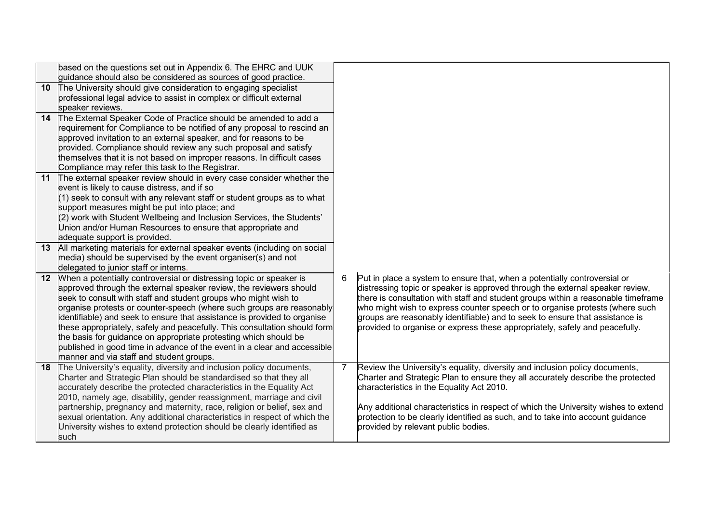|                 | based on the questions set out in Appendix 6. The EHRC and UUK             |                |                                                                                    |
|-----------------|----------------------------------------------------------------------------|----------------|------------------------------------------------------------------------------------|
|                 | guidance should also be considered as sources of good practice.            |                |                                                                                    |
| 10 <sup>°</sup> | The University should give consideration to engaging specialist            |                |                                                                                    |
|                 | professional legal advice to assist in complex or difficult external       |                |                                                                                    |
|                 | speaker reviews.                                                           |                |                                                                                    |
| 14              | The External Speaker Code of Practice should be amended to add a           |                |                                                                                    |
|                 | requirement for Compliance to be notified of any proposal to rescind an    |                |                                                                                    |
|                 | approved invitation to an external speaker, and for reasons to be          |                |                                                                                    |
|                 | provided. Compliance should review any such proposal and satisfy           |                |                                                                                    |
|                 | themselves that it is not based on improper reasons. In difficult cases    |                |                                                                                    |
|                 | Compliance may refer this task to the Registrar.                           |                |                                                                                    |
| 11              | The external speaker review should in every case consider whether the      |                |                                                                                    |
|                 | event is likely to cause distress, and if so                               |                |                                                                                    |
|                 | $(1)$ seek to consult with any relevant staff or student groups as to what |                |                                                                                    |
|                 | support measures might be put into place; and                              |                |                                                                                    |
|                 | $(2)$ work with Student Wellbeing and Inclusion Services, the Students'    |                |                                                                                    |
|                 | Union and/or Human Resources to ensure that appropriate and                |                |                                                                                    |
|                 | adequate support is provided.                                              |                |                                                                                    |
| 13              | All marketing materials for external speaker events (including on social   |                |                                                                                    |
|                 | media) should be supervised by the event organiser(s) and not              |                |                                                                                    |
|                 | delegated to junior staff or interns.                                      |                |                                                                                    |
| 12 <sup>1</sup> | When a potentially controversial or distressing topic or speaker is        | 6              | Put in place a system to ensure that, when a potentially controversial or          |
|                 | approved through the external speaker review, the reviewers should         |                | distressing topic or speaker is approved through the external speaker review,      |
|                 | seek to consult with staff and student groups who might wish to            |                | there is consultation with staff and student groups within a reasonable timeframe  |
|                 | organise protests or counter-speech (where such groups are reasonably      |                | who might wish to express counter speech or to organise protests (where such       |
|                 | identifiable) and seek to ensure that assistance is provided to organise   |                | groups are reasonably identifiable) and to seek to ensure that assistance is       |
|                 | these appropriately, safely and peacefully. This consultation should form  |                | provided to organise or express these appropriately, safely and peacefully.        |
|                 | the basis for guidance on appropriate protesting which should be           |                |                                                                                    |
|                 | published in good time in advance of the event in a clear and accessible   |                |                                                                                    |
|                 | manner and via staff and student groups.                                   |                |                                                                                    |
| 18              | The University's equality, diversity and inclusion policy documents,       | $\overline{7}$ | Review the University's equality, diversity and inclusion policy documents,        |
|                 | Charter and Strategic Plan should be standardised so that they all         |                | Charter and Strategic Plan to ensure they all accurately describe the protected    |
|                 | accurately describe the protected characteristics in the Equality Act      |                | characteristics in the Equality Act 2010.                                          |
|                 | 2010, namely age, disability, gender reassignment, marriage and civil      |                |                                                                                    |
|                 | partnership, pregnancy and maternity, race, religion or belief, sex and    |                | Any additional characteristics in respect of which the University wishes to extend |
|                 | sexual orientation. Any additional characteristics in respect of which the |                | protection to be clearly identified as such, and to take into account guidance     |
|                 | University wishes to extend protection should be clearly identified as     |                | provided by relevant public bodies.                                                |
|                 | such                                                                       |                |                                                                                    |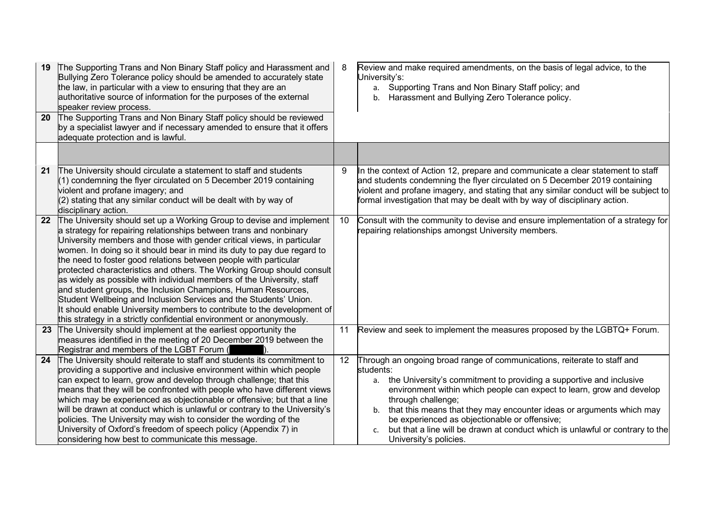| 19<br>20 | The Supporting Trans and Non Binary Staff policy and Harassment and<br>Bullying Zero Tolerance policy should be amended to accurately state<br>the law, in particular with a view to ensuring that they are an<br>authoritative source of information for the purposes of the external<br>speaker review process.<br>The Supporting Trans and Non Binary Staff policy should be reviewed<br>by a specialist lawyer and if necessary amended to ensure that it offers<br>adequate protection and is lawful.                                                                                                                                                                                                                                                                                                       | 8  | Review and make required amendments, on the basis of legal advice, to the<br>University's:<br>a. Supporting Trans and Non Binary Staff policy; and<br>b. Harassment and Bullying Zero Tolerance policy.                                                                                                                                                                                                                                                                                                        |
|----------|------------------------------------------------------------------------------------------------------------------------------------------------------------------------------------------------------------------------------------------------------------------------------------------------------------------------------------------------------------------------------------------------------------------------------------------------------------------------------------------------------------------------------------------------------------------------------------------------------------------------------------------------------------------------------------------------------------------------------------------------------------------------------------------------------------------|----|----------------------------------------------------------------------------------------------------------------------------------------------------------------------------------------------------------------------------------------------------------------------------------------------------------------------------------------------------------------------------------------------------------------------------------------------------------------------------------------------------------------|
|          |                                                                                                                                                                                                                                                                                                                                                                                                                                                                                                                                                                                                                                                                                                                                                                                                                  |    |                                                                                                                                                                                                                                                                                                                                                                                                                                                                                                                |
| 21       | The University should circulate a statement to staff and students<br>(1) condemning the flyer circulated on 5 December 2019 containing<br>violent and profane imagery; and<br>(2) stating that any similar conduct will be dealt with by way of<br>disciplinary action.                                                                                                                                                                                                                                                                                                                                                                                                                                                                                                                                          | 9  | In the context of Action 12, prepare and communicate a clear statement to staff<br>and students condemning the flyer circulated on 5 December 2019 containing<br>violent and profane imagery, and stating that any similar conduct will be subject to<br>formal investigation that may be dealt with by way of disciplinary action.                                                                                                                                                                            |
| 22       | The University should set up a Working Group to devise and implement<br>a strategy for repairing relationships between trans and nonbinary<br>University members and those with gender critical views, in particular<br>women. In doing so it should bear in mind its duty to pay due regard to<br>the need to foster good relations between people with particular<br>protected characteristics and others. The Working Group should consult<br>as widely as possible with individual members of the University, staff<br>and student groups, the Inclusion Champions, Human Resources,<br>Student Wellbeing and Inclusion Services and the Students' Union.<br>It should enable University members to contribute to the development of<br>this strategy in a strictly confidential environment or anonymously. | 10 | Consult with the community to devise and ensure implementation of a strategy for<br>repairing relationships amongst University members.                                                                                                                                                                                                                                                                                                                                                                        |
| 23       | The University should implement at the earliest opportunity the<br>measures identified in the meeting of 20 December 2019 between the<br>Registrar and members of the LGBT Forum (                                                                                                                                                                                                                                                                                                                                                                                                                                                                                                                                                                                                                               | 11 | Review and seek to implement the measures proposed by the LGBTQ+ Forum.                                                                                                                                                                                                                                                                                                                                                                                                                                        |
| 24       | The University should reiterate to staff and students its commitment to<br>providing a supportive and inclusive environment within which people<br>can expect to learn, grow and develop through challenge; that this<br>means that they will be confronted with people who have different views<br>which may be experienced as objectionable or offensive; but that a line<br>will be drawn at conduct which is unlawful or contrary to the University's<br>policies. The University may wish to consider the wording of the<br>University of Oxford's freedom of speech policy (Appendix 7) in<br>considering how best to communicate this message.                                                                                                                                                            | 12 | Through an ongoing broad range of communications, reiterate to staff and<br>students:<br>a. the University's commitment to providing a supportive and inclusive<br>environment within which people can expect to learn, grow and develop<br>through challenge;<br>that this means that they may encounter ideas or arguments which may<br>b.<br>be experienced as objectionable or offensive;<br>but that a line will be drawn at conduct which is unlawful or contrary to the<br>c.<br>University's policies. |